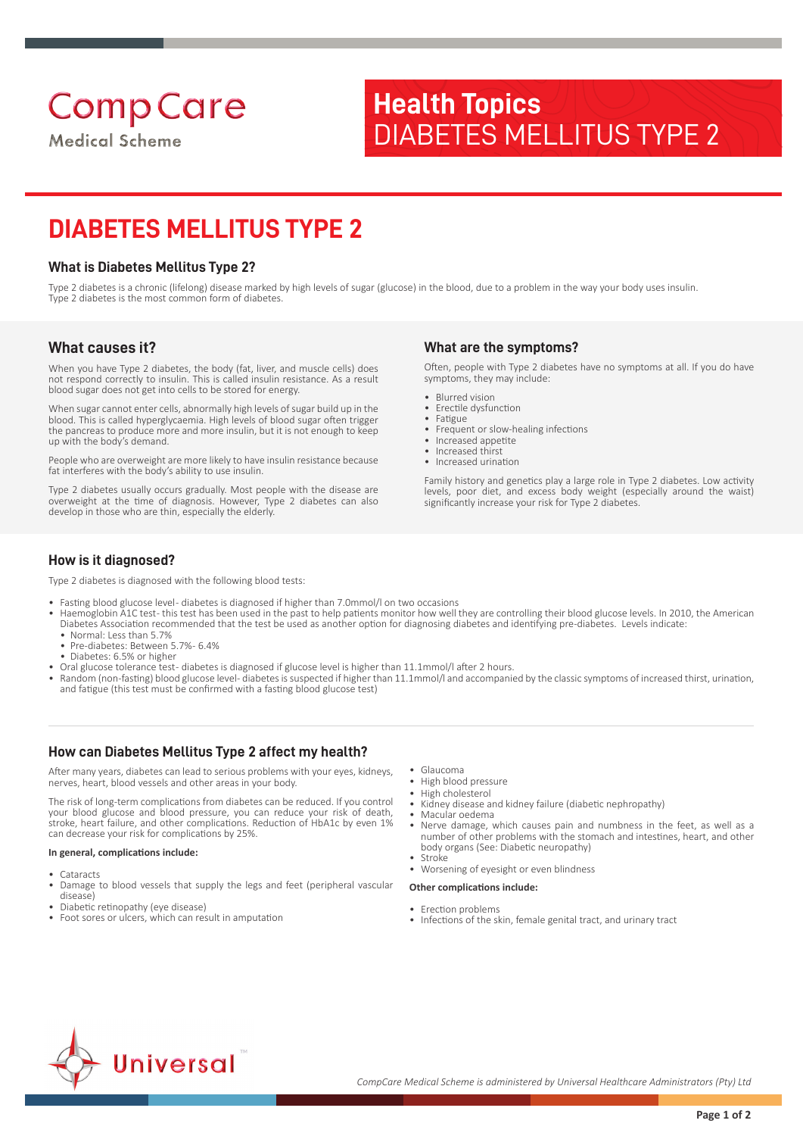**Medical Scheme** 

# **Health Topics** DIABETES MELLITUS TYPE 2

# **DIABETES MELLITUS TYPE 2**

## **What is Diabetes Mellitus Type 2?**

Type 2 diabetes is a chronic (lifelong) disease marked by high levels of sugar (glucose) in the blood, due to a problem in the way your body uses insulin. Type 2 diabetes is the most common form of diabetes.

## **What causes it?**

When you have Type 2 diabetes, the body (fat, liver, and muscle cells) does not respond correctly to insulin. This is called insulin resistance. As a result blood sugar does not get into cells to be stored for energy.

When sugar cannot enter cells, abnormally high levels of sugar build up in the blood. This is called hyperglycaemia. High levels of blood sugar often trigger the pancreas to produce more and more insulin, but it is not enough to keep up with the body's demand.

People who are overweight are more likely to have insulin resistance because fat interferes with the body's ability to use insulin.

Type 2 diabetes usually occurs gradually. Most people with the disease are overweight at the time of diagnosis. However, Type 2 diabetes can also develop in those who are thin, especially the elderly.

## **What are the symptoms?**

Often, people with Type 2 diabetes have no symptoms at all. If you do have symptoms, they may include:

- Blurred vision
- Erectile dysfunction<br>• Eatigue
- Fatigue • Frequent or slow-healing infections
- Increased appetite
- Increased thirst
- Increased urination

Family history and genetics play a large role in Type 2 diabetes. Low activity levels, poor diet, and excess body weight (especially around the waist) significantly increase your risk for Type 2 diabetes.

## **How is it diagnosed?**

Type 2 diabetes is diagnosed with the following blood tests:

- Fasting blood glucose level- diabetes is diagnosed if higher than 7.0mmol/l on two occasions
- Haemoglobin A1C test- this test has been used in the past to help patients monitor how well they are controlling their blood glucose levels. In 2010, the American Diabetes Association recommended that the test be used as another option for diagnosing diabetes and identifying pre-diabetes. Levels indicate:
- Normal: Less than 5.7% • Pre-diabetes: Between 5.7% - 6.4%
- Diabetes: 6.5% or higher
- Oral glucose tolerance test- diabetes is diagnosed if glucose level is higher than 11.1mmol/Lafter 2 hours.
- Random (non-fasting) blood glucose level-diabetes is suspected if higher than 11.1mmol/l and accompanied by the classic symptoms of increased thirst, urination, and fatigue (this test must be confirmed with a fasting blood glucose test)

## **How can Diabetes Mellitus Type 2 affect my health?**

After many years, diabetes can lead to serious problems with your eyes, kidneys, nerves, heart, blood vessels and other areas in your body.

The risk of long-term complications from diabetes can be reduced. If you control your blood glucose and blood pressure, you can reduce your risk of death, stroke, heart failure, and other complications. Reduction of HbA1c by even 1% can decrease your risk for complications by 25%.

### **In general, complications include:**

- **Cataracts**
- Damage to blood vessels that supply the legs and feet (peripheral vascular disease)
- Diabetic retinopathy (eye disease)
- Foot sores or ulcers, which can result in amputation
- Glaucoma<br>• High blood
- High blood pressure • High cholesterol
- Kidney disease and kidney failure (diabetic nephropathy)
- Macular oedema
- Nerve damage, which causes pain and numbness in the feet, as well as a number of other problems with the stomach and intestines, heart, and other body organs (See: Diabetic neuropathy)
- **Stroke** • Worsening of eyesight or even blindness

### **Other complications include:**

- Erection problems
- Infections of the skin, female genital tract, and urinary tract